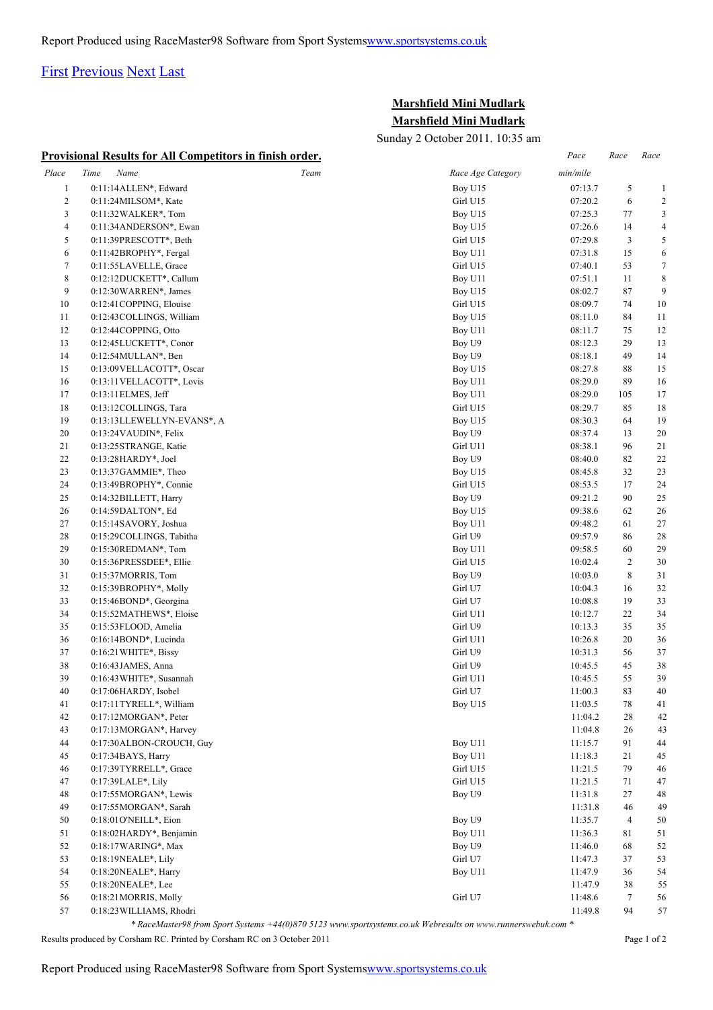## [First](http://www.corshamrunningclub.co.uk/Mudlark/Results/2011/Mini Mudlark Results.html#) [Previous](http://www.corshamrunningclub.co.uk/Mudlark/Results/2011/Mini Mudlark Results.html#) [Next](http://www.corshamrunningclub.co.uk/Mudlark/Results/2011/Mini Mudlark ResultsPage2.html) [Last](http://www.corshamrunningclub.co.uk/Mudlark/Results/2011/Mini Mudlark ResultsPage2.html)

## **Marshfield Mini Mudlark Marshfield Mini Mudlark**

Sunday 2 October 2011. 10:35 am

|                         | <b>Provisional Results for All Competitors in finish order.</b> |      |                   | Pace     | Race           | Race             |
|-------------------------|-----------------------------------------------------------------|------|-------------------|----------|----------------|------------------|
| Place                   | Time<br>Name                                                    | Team | Race Age Category | min/mile |                |                  |
| $\mathbf{1}$            | 0:11:14ALLEN*, Edward                                           |      | Boy U15           | 07:13.7  | 5              | $\mathbf{1}$     |
| $\overline{\mathbf{c}}$ | 0:11:24MILSOM*, Kate                                            |      | Girl U15          | 07:20.2  | 6              | $\overline{2}$   |
| 3                       | 0:11:32 WALKER*, Tom                                            |      | Boy U15           | 07:25.3  | 77             | 3                |
| 4                       | 0:11:34ANDERSON*, Ewan                                          |      | Boy U15           | 07:26.6  | 14             | 4                |
| 5                       | 0:11:39PRESCOTT*, Beth                                          |      | Girl U15          | 07:29.8  | 3              | 5                |
| 6                       | 0:11:42BROPHY*, Fergal                                          |      | Boy U11           | 07:31.8  | 15             | 6                |
| $\tau$                  | 0:11:55LAVELLE, Grace                                           |      | Girl U15          | 07:40.1  | 53             | $\boldsymbol{7}$ |
| 8                       | 0:12:12DUCKETT*, Callum                                         |      | Boy U11           | 07:51.1  | 11             | 8                |
| 9                       | 0:12:30WARREN*, James                                           |      | Boy U15           | 08:02.7  | $87\,$         | 9                |
| 10                      | 0:12:41COPPING, Elouise                                         |      | Girl U15          | 08:09.7  | 74             | 10               |
| 11                      | 0:12:43 COLLINGS, William                                       |      | Boy U15           | 08:11.0  | 84             | 11               |
| 12                      | 0:12:44COPPING, Otto                                            |      | Boy U11           | 08:11.7  | 75             | 12               |
| 13                      | 0:12:45LUCKETT*, Conor                                          |      | Boy U9            | 08:12.3  | 29             | 13               |
| 14                      | 0:12:54MULLAN*, Ben                                             |      | Boy U9            | 08:18.1  | 49             | 14               |
| 15                      | 0:13:09 VELLACOTT*, Oscar                                       |      | Boy U15           | 08:27.8  | 88             | 15               |
| 16                      | 0:13:11VELLACOTT*, Lovis                                        |      | Boy U11           | 08:29.0  | 89             | 16               |
| 17                      | 0:13:11 ELMES, Jeff                                             |      | Boy U11           | 08:29.0  | 105            | 17               |
| 18                      | 0:13:12COLLINGS, Tara                                           |      | Girl U15          | 08:29.7  | 85             | 18               |
| 19                      | 0:13:13LLEWELLYN-EVANS*, A                                      |      | Boy U15           | 08:30.3  | 64             | 19               |
| 20                      | 0:13:24VAUDIN*, Felix                                           |      | Boy U9            | 08:37.4  | 13             | 20               |
| 21                      | 0:13:25 STRANGE, Katie                                          |      | Girl U11          | 08:38.1  | 96             | 21               |
| 22                      | 0:13:28HARDY*, Joel                                             |      | Boy U9            | 08:40.0  | 82             | 22               |
| 23                      | $0:13:37$ GAMMIE*, Theo                                         |      | Boy U15           | 08:45.8  | 32             | 23               |
| 24                      | 0:13:49BROPHY*, Connie                                          |      | Girl U15          | 08:53.5  | 17             | 24               |
| 25                      | 0:14:32BILLETT, Harry                                           |      | Boy U9            | 09:21.2  | 90             | 25               |
| 26                      | 0:14:59DALTON*, Ed                                              |      | Boy U15           | 09:38.6  | 62             | 26               |
| 27                      | 0:15:14SAVORY, Joshua                                           |      | Boy U11           | 09:48.2  | 61             | 27               |
| 28                      | 0:15:29COLLINGS, Tabitha                                        |      | Girl U9           | 09:57.9  | 86             | 28               |
| 29                      | 0:15:30REDMAN*, Tom                                             |      | Boy U11           | 09:58.5  | 60             | 29               |
| 30                      | 0:15:36PRESSDEE*, Ellie                                         |      | Girl U15          | 10:02.4  | $\overline{c}$ | 30               |
| 31                      | 0:15:37MORRIS, Tom                                              |      | Boy U9            | 10:03.0  | $\,$ 8 $\,$    | 31               |
| 32                      | 0:15:39BROPHY*, Molly                                           |      | Girl U7           | 10:04.3  | 16             | 32               |
| 33                      | 0:15:46BOND*, Georgina                                          |      | Girl U7           | 10:08.8  | 19             | 33               |
| 34                      | 0:15:52MATHEWS*, Eloise                                         |      | Girl U11          | 10:12.7  | 22             | 34               |
| 35                      | 0:15:53FLOOD, Amelia                                            |      | Girl U9           | 10:13.3  | 35             | 35               |
| 36                      | $0:16:14BOND^*$ , Lucinda                                       |      | Girl U11          | 10:26.8  | 20             | 36               |
| 37                      | $0:16:21$ WHITE*, Bissy                                         |      | Girl U9           | 10:31.3  | 56             | 37               |
| 38                      | 0:16:43JAMES, Anna                                              |      | Girl U9           | 10:45.5  | 45             | 38               |
| 39                      | 0:16:43 WHITE*, Susannah                                        |      | Girl U11          | 10:45.5  | 55             | 39               |
| 40                      | 0:17:06HARDY, Isobel                                            |      | Girl U7           | 11:00.3  | 83             | $40\,$           |
| 41                      | 0:17:11TYRELL*, William                                         |      | Boy U15           | 11:03.5  | $78\,$         | 41               |
| 42                      | $0:17:12MORGAN^*$ , Peter                                       |      |                   | 11:04.2  | 28             | 42               |
| 43                      | 0:17:13MORGAN*, Harvey                                          |      |                   | 11:04.8  | 26             | 43               |
| 44                      | 0:17:30ALBON-CROUCH, Guy                                        |      | Boy U11           | 11:15.7  | 91             | 44               |
| 45                      | 0:17:34BAYS, Harry                                              |      | Boy U11           | 11:18.3  | 21             | 45               |
| 46                      | 0:17:39TYRRELL*, Grace                                          |      | Girl U15          | 11:21.5  | 79             | 46               |
| 47                      | 0:17:39LALE*, Lily                                              |      | Girl U15          | 11:21.5  | $71\,$         | 47               |
| 48                      | $0:17:55MORGAN^*$ , Lewis                                       |      | Boy U9            | 11:31.8  | $27\,$         | 48               |
| 49                      | 0:17:55MORGAN*, Sarah                                           |      |                   | 11:31.8  | 46             | 49               |
| 50                      | 0:18:01 O'NEILL*, Eion                                          |      | Boy U9            | 11:35.7  | $\overline{4}$ | 50               |
| 51                      | 0:18:02HARDY*, Benjamin                                         |      | Boy U11           | 11:36.3  | 81             | 51               |
| 52                      | 0:18:17 WARING*, Max                                            |      | Boy U9            | 11:46.0  | 68             | 52               |
| 53                      | 0:18:19NEALE*, Lily                                             |      | Girl U7           | 11:47.3  | 37             | 53               |
| 54                      | 0:18:20NEALE*, Harry                                            |      | Boy U11           | 11:47.9  | 36             | 54               |
| 55                      | $0:18:20NEALE*, Lee$                                            |      |                   | 11:47.9  | 38             | 55               |
| 56                      | 0:18:21 MORRIS, Molly                                           |      | Girl U7           | 11:48.6  | 7              | 56               |
| 57                      | 0:18:23 WILLIAMS, Rhodri                                        |      |                   | 11:49.8  | 94             | 57               |

*\* RaceMaster98 from Sport Systems +44(0)870 5123 www.sportsystems.co.uk Webresults on www.runnerswebuk.com \**

Results produced by Corsham RC. Printed by Corsham RC on 3 October 2011 Page 1 of 2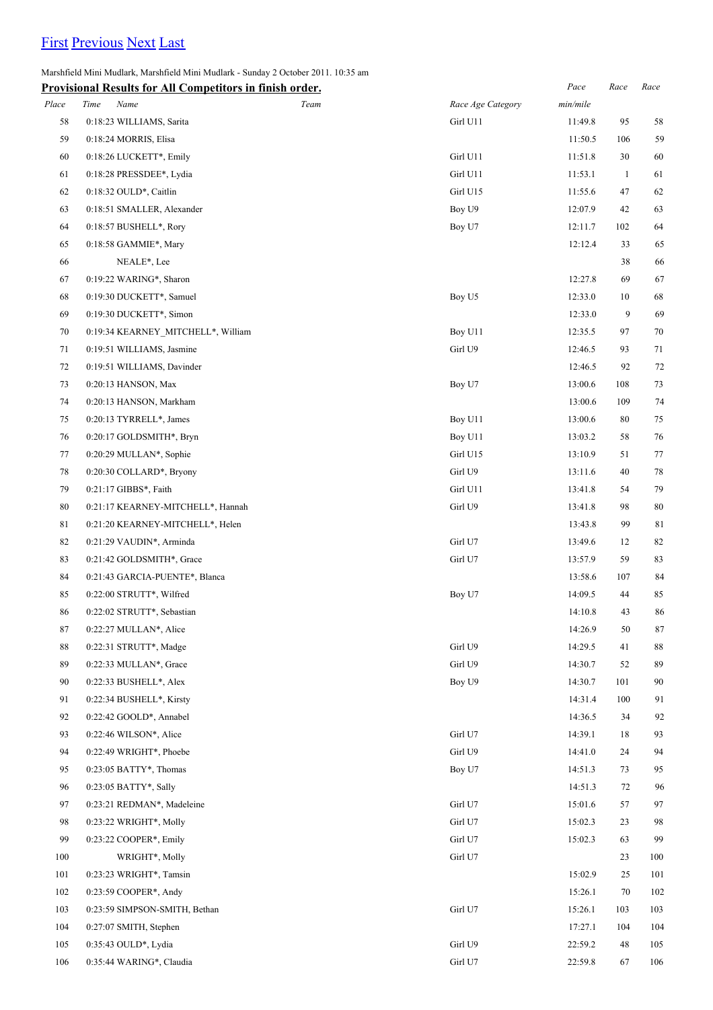## [First](http://www.corshamrunningclub.co.uk/Mudlark/Results/2011/Mini Mudlark Results.html) [Previous](http://www.corshamrunningclub.co.uk/Mudlark/Results/2011/Mini Mudlark Results.html) [Next](http://www.corshamrunningclub.co.uk/Mudlark/Results/2011/Mini Mudlark ResultsPage2.html#) [Last](http://www.corshamrunningclub.co.uk/Mudlark/Results/2011/Mini Mudlark ResultsPage2.html#)

Marshfield Mini Mudlark, Marshfield Mini Mudlark - Sunday 2 October 2011. 10:35 am

|       | <b>Provisional Results for All Competitors in finish order.</b> |      |                   | Pace     | Race         | Race   |
|-------|-----------------------------------------------------------------|------|-------------------|----------|--------------|--------|
| Place | Time<br>Name                                                    | Team | Race Age Category | min/mile |              |        |
| 58    | 0:18:23 WILLIAMS, Sarita                                        |      | Girl U11          | 11:49.8  | 95           | 58     |
| 59    | 0:18:24 MORRIS, Elisa                                           |      |                   | 11:50.5  | 106          | 59     |
| 60    | 0:18:26 LUCKETT*, Emily                                         |      | Girl U11          | 11:51.8  | 30           | 60     |
| 61    | 0:18:28 PRESSDEE*, Lydia                                        |      | Girl U11          | 11:53.1  | $\mathbf{1}$ | 61     |
| 62    | 0:18:32 OULD*, Caitlin                                          |      | Girl U15          | 11:55.6  | 47           | 62     |
| 63    | 0:18:51 SMALLER, Alexander                                      |      | Boy U9            | 12:07.9  | 42           | 63     |
| 64    | 0:18:57 BUSHELL*, Rory                                          |      | Boy U7            | 12:11.7  | 102          | 64     |
| 65    | 0:18:58 GAMMIE*, Mary                                           |      |                   | 12:12.4  | 33           | 65     |
| 66    | NEALE*, Lee                                                     |      |                   |          | 38           | 66     |
| 67    | 0:19:22 WARING*, Sharon                                         |      |                   | 12:27.8  | 69           | 67     |
| 68    | 0:19:30 DUCKETT*, Samuel                                        |      | Boy U5            | 12:33.0  | 10           | 68     |
| 69    | 0:19:30 DUCKETT*, Simon                                         |      |                   | 12:33.0  | 9            | 69     |
| 70    | 0:19:34 KEARNEY MITCHELL*, William                              |      | Boy U11           | 12:35.5  | 97           | 70     |
| 71    | 0:19:51 WILLIAMS, Jasmine                                       |      | Girl U9           | 12:46.5  | 93           | 71     |
| 72    | 0:19:51 WILLIAMS, Davinder                                      |      |                   | 12:46.5  | 92           | 72     |
| 73    | 0:20:13 HANSON, Max                                             |      | Boy U7            | 13:00.6  | 108          | 73     |
| 74    | 0:20:13 HANSON, Markham                                         |      |                   | 13:00.6  | 109          | 74     |
| 75    | 0:20:13 TYRRELL*, James                                         |      | Boy U11           | 13:00.6  | 80           | 75     |
| 76    | 0:20:17 GOLDSMITH*, Bryn                                        |      | Boy U11           | 13:03.2  | 58           | 76     |
| 77    | 0:20:29 MULLAN*, Sophie                                         |      | Girl U15          | 13:10.9  | 51           | 77     |
| 78    | 0:20:30 COLLARD*, Bryony                                        |      | Girl U9           | 13:11.6  | 40           | 78     |
| 79    | 0:21:17 GIBBS*, Faith                                           |      | Girl U11          | 13:41.8  | 54           | 79     |
| 80    | 0:21:17 KEARNEY-MITCHELL*, Hannah                               |      | Girl U9           | 13:41.8  | 98           | $80\,$ |
| 81    | 0:21:20 KEARNEY-MITCHELL*, Helen                                |      |                   | 13:43.8  | 99           | 81     |
| 82    | 0:21:29 VAUDIN*, Arminda                                        |      | Girl U7           | 13:49.6  | 12           | 82     |
| 83    | 0:21:42 GOLDSMITH*, Grace                                       |      | Girl U7           | 13:57.9  | 59           | 83     |
| 84    | 0:21:43 GARCIA-PUENTE*, Blanca                                  |      |                   | 13:58.6  | 107          | 84     |
| 85    | 0:22:00 STRUTT*, Wilfred                                        |      | Boy U7            | 14:09.5  | 44           | 85     |
| 86    | 0:22:02 STRUTT*, Sebastian                                      |      |                   | 14:10.8  | 43           | 86     |
| 87    | 0:22:27 MULLAN*, Alice                                          |      |                   | 14:26.9  | 50           | 87     |
| 88    | 0:22:31 STRUTT*, Madge                                          |      | Girl U9           | 14:29.5  | 41           | 88     |
| 89    | $0:22:33$ MULLAN*, Grace                                        |      | Girl U9           | 14:30.7  | 52           | 89     |
| 90    | 0:22:33 BUSHELL*, Alex                                          |      | Boy U9            | 14:30.7  | 101          | 90     |
| 91    | 0:22:34 BUSHELL*, Kirsty                                        |      |                   | 14:31.4  | 100          | 91     |
| 92    | 0:22:42 GOOLD*, Annabel                                         |      |                   | 14:36.5  | 34           | 92     |
| 93    | 0:22:46 WILSON*, Alice                                          |      | Girl U7           | 14:39.1  | 18           | 93     |
| 94    | 0:22:49 WRIGHT*, Phoebe                                         |      | Girl U9           | 14:41.0  | 24           | 94     |
| 95    | 0:23:05 BATTY*, Thomas                                          |      | Boy U7            | 14:51.3  | 73           | 95     |
| 96    | 0:23:05 BATTY*, Sally                                           |      |                   | 14:51.3  | 72           | 96     |
| 97    | 0:23:21 REDMAN*, Madeleine                                      |      | Girl U7           | 15:01.6  | 57           | 97     |
| 98    | 0:23:22 WRIGHT*, Molly                                          |      | Girl U7           | 15:02.3  | 23           | 98     |
| 99    | $0:23:22$ COOPER*, Emily                                        |      | Girl U7           | 15:02.3  | 63           | 99     |
| 100   | WRIGHT*, Molly                                                  |      | Girl U7           |          | 23           | 100    |
| 101   | 0:23:23 WRIGHT*, Tamsin                                         |      |                   | 15:02.9  | 25           | 101    |
| 102   | 0:23:59 COOPER*, Andy                                           |      |                   | 15:26.1  | 70           | 102    |
| 103   | 0:23:59 SIMPSON-SMITH, Bethan                                   |      | Girl U7           | 15:26.1  | 103          | 103    |
| 104   | 0:27:07 SMITH, Stephen                                          |      |                   | 17:27.1  | 104          | 104    |
| 105   | 0:35:43 OULD*, Lydia                                            |      | Girl U9           | 22:59.2  | 48           | 105    |
| 106   | 0:35:44 WARING*, Claudia                                        |      | Girl U7           | 22:59.8  | 67           |        |
|       |                                                                 |      |                   |          |              | 106    |